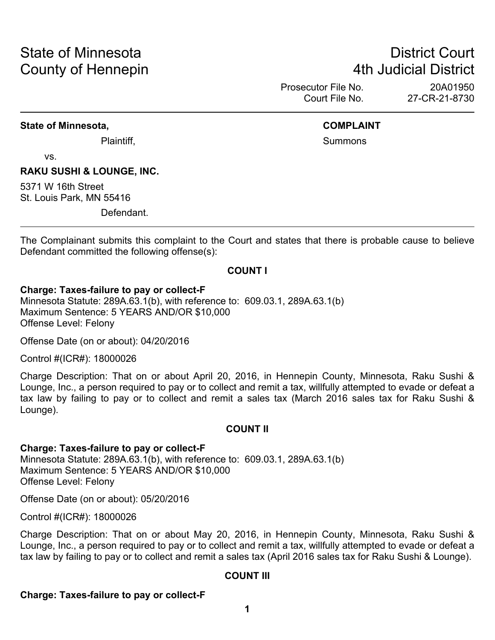# State of Minnesota **District Court County of Hennepin 1988** County of Hennepin **1988** County of Hennepin **1988**

Prosecutor File No. 20A01950 Court File No. 27-CR-21-8730

#### **State of Minnesota, COMPLAINT**

Plaintiff, **Summons Plaintiff**,

vs.

#### **RAKU SUSHI & LOUNGE, INC.**

5371 W 16th Street St. Louis Park, MN 55416

Defendant.

The Complainant submits this complaint to the Court and states that there is probable cause to believe Defendant committed the following offense(s):

#### **COUNT I**

#### **Charge: Taxes-failure to pay or collect-F**

Minnesota Statute: 289A.63.1(b), with reference to: 609.03.1, 289A.63.1(b) Maximum Sentence: 5 YEARS AND/OR \$10,000 Offense Level: Felony

Offense Date (on or about): 04/20/2016

Control #(ICR#): 18000026

Charge Description: That on or about April 20, 2016, in Hennepin County, Minnesota, Raku Sushi & Lounge, Inc., a person required to pay or to collect and remit a tax, willfully attempted to evade or defeat a tax law by failing to pay or to collect and remit a sales tax (March 2016 sales tax for Raku Sushi & Lounge).

#### **COUNT II**

#### **Charge: Taxes-failure to pay or collect-F**

Minnesota Statute: 289A.63.1(b), with reference to: 609.03.1, 289A.63.1(b) Maximum Sentence: 5 YEARS AND/OR \$10,000 Offense Level: Felony

Offense Date (on or about): 05/20/2016

Control #(ICR#): 18000026

Charge Description: That on or about May 20, 2016, in Hennepin County, Minnesota, Raku Sushi & Lounge, Inc., a person required to pay or to collect and remit a tax, willfully attempted to evade or defeat a tax law by failing to pay or to collect and remit a sales tax (April 2016 sales tax for Raku Sushi & Lounge).

#### **COUNT III**

#### **Charge: Taxes-failure to pay or collect-F**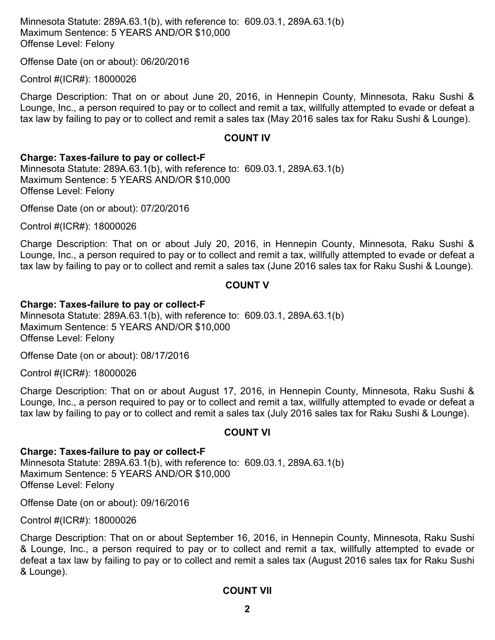Minnesota Statute: 289A.63.1(b), with reference to: 609.03.1, 289A.63.1(b) Maximum Sentence: 5 YEARS AND/OR \$10,000 Offense Level: Felony

Offense Date (on or about): 06/20/2016

Control #(ICR#): 18000026

Charge Description: That on or about June 20, 2016, in Hennepin County, Minnesota, Raku Sushi & Lounge, Inc., a person required to pay or to collect and remit a tax, willfully attempted to evade or defeat a tax law by failing to pay or to collect and remit a sales tax (May 2016 sales tax for Raku Sushi & Lounge).

#### **COUNT IV**

#### **Charge: Taxes-failure to pay or collect-F**

Minnesota Statute: 289A.63.1(b), with reference to: 609.03.1, 289A.63.1(b) Maximum Sentence: 5 YEARS AND/OR \$10,000 Offense Level: Felony

Offense Date (on or about): 07/20/2016

Control #(ICR#): 18000026

Charge Description: That on or about July 20, 2016, in Hennepin County, Minnesota, Raku Sushi & Lounge, Inc., a person required to pay or to collect and remit a tax, willfully attempted to evade or defeat a tax law by failing to pay or to collect and remit a sales tax (June 2016 sales tax for Raku Sushi & Lounge).

#### **COUNT V**

#### **Charge: Taxes-failure to pay or collect-F**

Minnesota Statute: 289A.63.1(b), with reference to: 609.03.1, 289A.63.1(b) Maximum Sentence: 5 YEARS AND/OR \$10,000 Offense Level: Felony

Offense Date (on or about): 08/17/2016

Control #(ICR#): 18000026

Charge Description: That on or about August 17, 2016, in Hennepin County, Minnesota, Raku Sushi & Lounge, Inc., a person required to pay or to collect and remit a tax, willfully attempted to evade or defeat a tax law by failing to pay or to collect and remit a sales tax (July 2016 sales tax for Raku Sushi & Lounge).

#### **COUNT VI**

#### **Charge: Taxes-failure to pay or collect-F** Minnesota Statute: 289A.63.1(b), with reference to: 609.03.1, 289A.63.1(b) Maximum Sentence: 5 YEARS AND/OR \$10,000 Offense Level: Felony

Offense Date (on or about): 09/16/2016

Control #(ICR#): 18000026

Charge Description: That on or about September 16, 2016, in Hennepin County, Minnesota, Raku Sushi & Lounge, Inc., a person required to pay or to collect and remit a tax, willfully attempted to evade or defeat a tax law by failing to pay or to collect and remit a sales tax (August 2016 sales tax for Raku Sushi & Lounge).

#### **COUNT VII**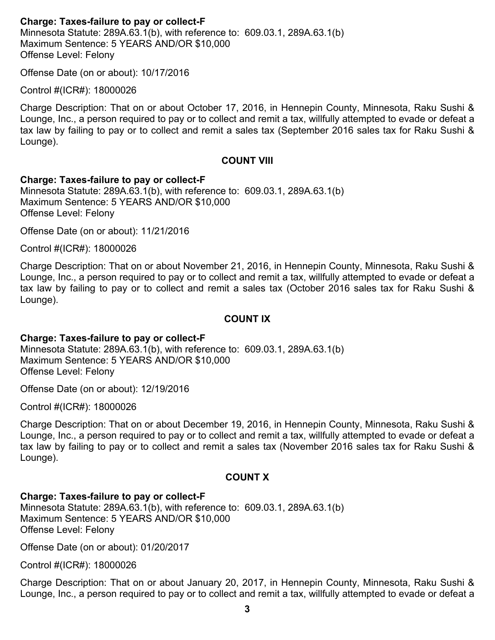#### **Charge: Taxes-failure to pay or collect-F**

Minnesota Statute: 289A.63.1(b), with reference to: 609.03.1, 289A.63.1(b) Maximum Sentence: 5 YEARS AND/OR \$10,000 Offense Level: Felony

Offense Date (on or about): 10/17/2016

Control #(ICR#): 18000026

Charge Description: That on or about October 17, 2016, in Hennepin County, Minnesota, Raku Sushi & Lounge, Inc., a person required to pay or to collect and remit a tax, willfully attempted to evade or defeat a tax law by failing to pay or to collect and remit a sales tax (September 2016 sales tax for Raku Sushi & Lounge).

#### **COUNT VIII**

#### **Charge: Taxes-failure to pay or collect-F**

Minnesota Statute: 289A.63.1(b), with reference to: 609.03.1, 289A.63.1(b) Maximum Sentence: 5 YEARS AND/OR \$10,000 Offense Level: Felony

Offense Date (on or about): 11/21/2016

Control #(ICR#): 18000026

Charge Description: That on or about November 21, 2016, in Hennepin County, Minnesota, Raku Sushi & Lounge, Inc., a person required to pay or to collect and remit a tax, willfully attempted to evade or defeat a tax law by failing to pay or to collect and remit a sales tax (October 2016 sales tax for Raku Sushi & Lounge).

#### **COUNT IX**

#### **Charge: Taxes-failure to pay or collect-F**

Minnesota Statute: 289A.63.1(b), with reference to: 609.03.1, 289A.63.1(b) Maximum Sentence: 5 YEARS AND/OR \$10,000 Offense Level: Felony

Offense Date (on or about): 12/19/2016

Control #(ICR#): 18000026

Charge Description: That on or about December 19, 2016, in Hennepin County, Minnesota, Raku Sushi & Lounge, Inc., a person required to pay or to collect and remit a tax, willfully attempted to evade or defeat a tax law by failing to pay or to collect and remit a sales tax (November 2016 sales tax for Raku Sushi & Lounge).

#### **COUNT X**

#### **Charge: Taxes-failure to pay or collect-F**

Minnesota Statute: 289A.63.1(b), with reference to: 609.03.1, 289A.63.1(b) Maximum Sentence: 5 YEARS AND/OR \$10,000 Offense Level: Felony

Offense Date (on or about): 01/20/2017

Control #(ICR#): 18000026

Charge Description: That on or about January 20, 2017, in Hennepin County, Minnesota, Raku Sushi & Lounge, Inc., a person required to pay or to collect and remit a tax, willfully attempted to evade or defeat a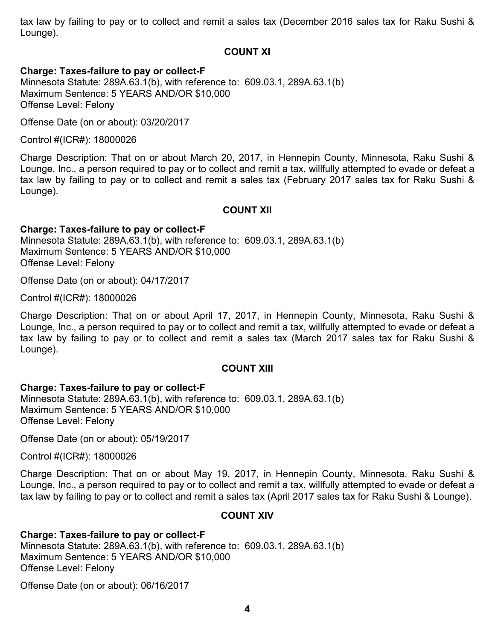tax law by failing to pay or to collect and remit a sales tax (December 2016 sales tax for Raku Sushi & Lounge).

#### **COUNT XI**

#### **Charge: Taxes-failure to pay or collect-F**

Minnesota Statute: 289A.63.1(b), with reference to: 609.03.1, 289A.63.1(b) Maximum Sentence: 5 YEARS AND/OR \$10,000 Offense Level: Felony

Offense Date (on or about): 03/20/2017

Control #(ICR#): 18000026

Charge Description: That on or about March 20, 2017, in Hennepin County, Minnesota, Raku Sushi & Lounge, Inc., a person required to pay or to collect and remit a tax, willfully attempted to evade or defeat a tax law by failing to pay or to collect and remit a sales tax (February 2017 sales tax for Raku Sushi & Lounge).

#### **COUNT XII**

### **Charge: Taxes-failure to pay or collect-F**

Minnesota Statute: 289A.63.1(b), with reference to: 609.03.1, 289A.63.1(b) Maximum Sentence: 5 YEARS AND/OR \$10,000 Offense Level: Felony

Offense Date (on or about): 04/17/2017

Control #(ICR#): 18000026

Charge Description: That on or about April 17, 2017, in Hennepin County, Minnesota, Raku Sushi & Lounge, Inc., a person required to pay or to collect and remit a tax, willfully attempted to evade or defeat a tax law by failing to pay or to collect and remit a sales tax (March 2017 sales tax for Raku Sushi & Lounge).

#### **COUNT XIII**

#### **Charge: Taxes-failure to pay or collect-F**

Minnesota Statute: 289A.63.1(b), with reference to: 609.03.1, 289A.63.1(b) Maximum Sentence: 5 YEARS AND/OR \$10,000 Offense Level: Felony

Offense Date (on or about): 05/19/2017

Control #(ICR#): 18000026

Charge Description: That on or about May 19, 2017, in Hennepin County, Minnesota, Raku Sushi & Lounge, Inc., a person required to pay or to collect and remit a tax, willfully attempted to evade or defeat a tax law by failing to pay or to collect and remit a sales tax (April 2017 sales tax for Raku Sushi & Lounge).

#### **COUNT XIV**

**Charge: Taxes-failure to pay or collect-F** Minnesota Statute: 289A.63.1(b), with reference to: 609.03.1, 289A.63.1(b) Maximum Sentence: 5 YEARS AND/OR \$10,000 Offense Level: Felony

Offense Date (on or about): 06/16/2017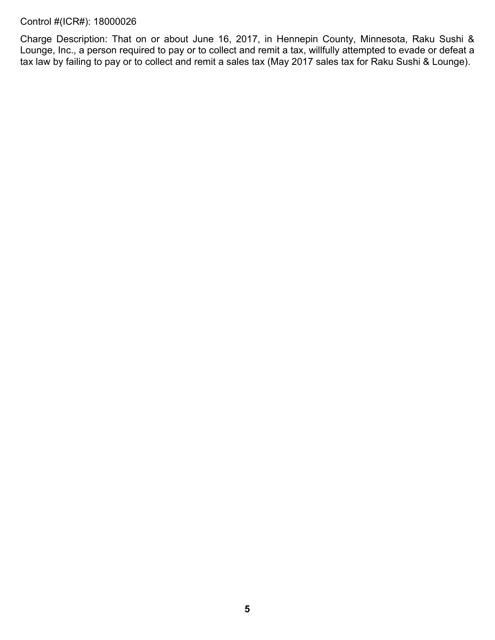#### Control #(ICR#): 18000026

Charge Description: That on or about June 16, 2017, in Hennepin County, Minnesota, Raku Sushi & Lounge, Inc., a person required to pay or to collect and remit a tax, willfully attempted to evade or defeat a tax law by failing to pay or to collect and remit a sales tax (May 2017 sales tax for Raku Sushi & Lounge).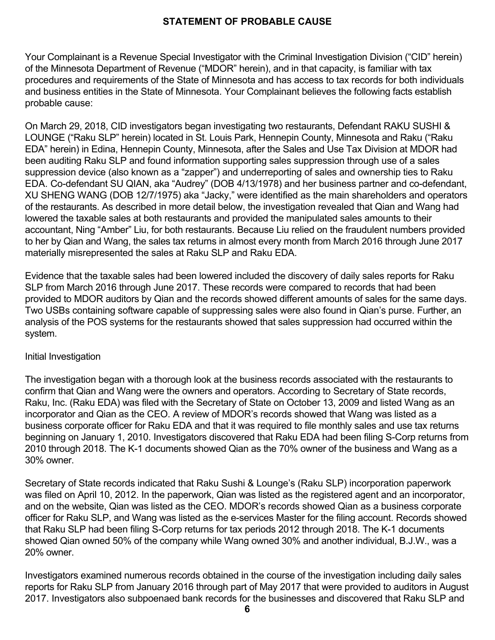### **STATEMENT OF PROBABLE CAUSE**

Your Complainant is a Revenue Special Investigator with the Criminal Investigation Division ("CID" herein) of the Minnesota Department of Revenue ("MDOR" herein), and in that capacity, is familiar with tax procedures and requirements of the State of Minnesota and has access to tax records for both individuals and business entities in the State of Minnesota. Your Complainant believes the following facts establish probable cause:

On March 29, 2018, CID investigators began investigating two restaurants, Defendant RAKU SUSHI & LOUNGE ("Raku SLP" herein) located in St. Louis Park, Hennepin County, Minnesota and Raku ("Raku EDA" herein) in Edina, Hennepin County, Minnesota, after the Sales and Use Tax Division at MDOR had been auditing Raku SLP and found information supporting sales suppression through use of a sales suppression device (also known as a "zapper") and underreporting of sales and ownership ties to Raku EDA. Co-defendant SU QIAN, aka "Audrey" (DOB 4/13/1978) and her business partner and co-defendant, XU SHENG WANG (DOB 12/7/1975) aka "Jacky," were identified as the main shareholders and operators of the restaurants. As described in more detail below, the investigation revealed that Qian and Wang had lowered the taxable sales at both restaurants and provided the manipulated sales amounts to their accountant, Ning "Amber" Liu, for both restaurants. Because Liu relied on the fraudulent numbers provided to her by Qian and Wang, the sales tax returns in almost every month from March 2016 through June 2017 materially misrepresented the sales at Raku SLP and Raku EDA.

Evidence that the taxable sales had been lowered included the discovery of daily sales reports for Raku SLP from March 2016 through June 2017. These records were compared to records that had been provided to MDOR auditors by Qian and the records showed different amounts of sales for the same days. Two USBs containing software capable of suppressing sales were also found in Qian's purse. Further, an analysis of the POS systems for the restaurants showed that sales suppression had occurred within the system.

#### Initial Investigation

The investigation began with a thorough look at the business records associated with the restaurants to confirm that Qian and Wang were the owners and operators. According to Secretary of State records, Raku, Inc. (Raku EDA) was filed with the Secretary of State on October 13, 2009 and listed Wang as an incorporator and Qian as the CEO. A review of MDOR's records showed that Wang was listed as a business corporate officer for Raku EDA and that it was required to file monthly sales and use tax returns beginning on January 1, 2010. Investigators discovered that Raku EDA had been filing S-Corp returns from 2010 through 2018. The K-1 documents showed Qian as the 70% owner of the business and Wang as a 30% owner.

Secretary of State records indicated that Raku Sushi & Lounge's (Raku SLP) incorporation paperwork was filed on April 10, 2012. In the paperwork, Qian was listed as the registered agent and an incorporator, and on the website, Qian was listed as the CEO. MDOR's records showed Qian as a business corporate officer for Raku SLP, and Wang was listed as the e-services Master for the filing account. Records showed that Raku SLP had been filing S-Corp returns for tax periods 2012 through 2018. The K-1 documents showed Qian owned 50% of the company while Wang owned 30% and another individual, B.J.W., was a 20% owner.

Investigators examined numerous records obtained in the course of the investigation including daily sales reports for Raku SLP from January 2016 through part of May 2017 that were provided to auditors in August 2017. Investigators also subpoenaed bank records for the businesses and discovered that Raku SLP and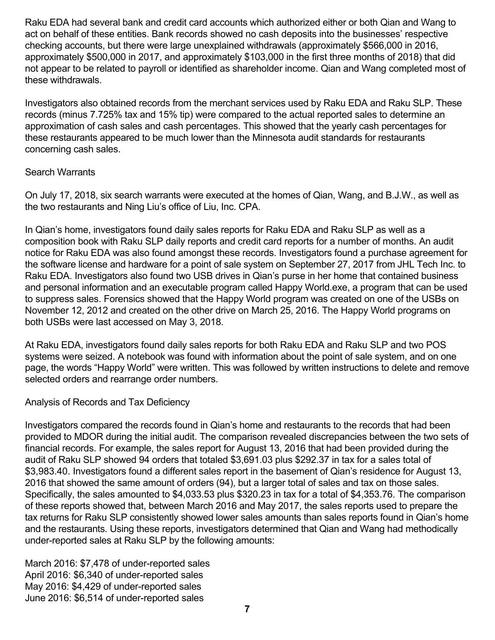Raku EDA had several bank and credit card accounts which authorized either or both Qian and Wang to act on behalf of these entities. Bank records showed no cash deposits into the businesses' respective checking accounts, but there were large unexplained withdrawals (approximately \$566,000 in 2016, approximately \$500,000 in 2017, and approximately \$103,000 in the first three months of 2018) that did not appear to be related to payroll or identified as shareholder income. Qian and Wang completed most of these withdrawals.

Investigators also obtained records from the merchant services used by Raku EDA and Raku SLP. These records (minus 7.725% tax and 15% tip) were compared to the actual reported sales to determine an approximation of cash sales and cash percentages. This showed that the yearly cash percentages for these restaurants appeared to be much lower than the Minnesota audit standards for restaurants concerning cash sales.

#### Search Warrants

On July 17, 2018, six search warrants were executed at the homes of Qian, Wang, and B.J.W., as well as the two restaurants and Ning Liu's office of Liu, Inc. CPA.

In Qian's home, investigators found daily sales reports for Raku EDA and Raku SLP as well as a composition book with Raku SLP daily reports and credit card reports for a number of months. An audit notice for Raku EDA was also found amongst these records. Investigators found a purchase agreement for the software license and hardware for a point of sale system on September 27, 2017 from JHL Tech Inc. to Raku EDA. Investigators also found two USB drives in Qian's purse in her home that contained business and personal information and an executable program called Happy World.exe, a program that can be used to suppress sales. Forensics showed that the Happy World program was created on one of the USBs on November 12, 2012 and created on the other drive on March 25, 2016. The Happy World programs on both USBs were last accessed on May 3, 2018.

At Raku EDA, investigators found daily sales reports for both Raku EDA and Raku SLP and two POS systems were seized. A notebook was found with information about the point of sale system, and on one page, the words "Happy World" were written. This was followed by written instructions to delete and remove selected orders and rearrange order numbers.

### Analysis of Records and Tax Deficiency

Investigators compared the records found in Qian's home and restaurants to the records that had been provided to MDOR during the initial audit. The comparison revealed discrepancies between the two sets of financial records. For example, the sales report for August 13, 2016 that had been provided during the audit of Raku SLP showed 94 orders that totaled \$3,691.03 plus \$292.37 in tax for a sales total of \$3,983.40. Investigators found a different sales report in the basement of Qian's residence for August 13, 2016 that showed the same amount of orders (94), but a larger total of sales and tax on those sales. Specifically, the sales amounted to \$4,033.53 plus \$320.23 in tax for a total of \$4,353.76. The comparison of these reports showed that, between March 2016 and May 2017, the sales reports used to prepare the tax returns for Raku SLP consistently showed lower sales amounts than sales reports found in Qian's home and the restaurants. Using these reports, investigators determined that Qian and Wang had methodically under-reported sales at Raku SLP by the following amounts:

March 2016: \$7,478 of under-reported sales April 2016: \$6,340 of under-reported sales May 2016: \$4,429 of under-reported sales June 2016: \$6,514 of under-reported sales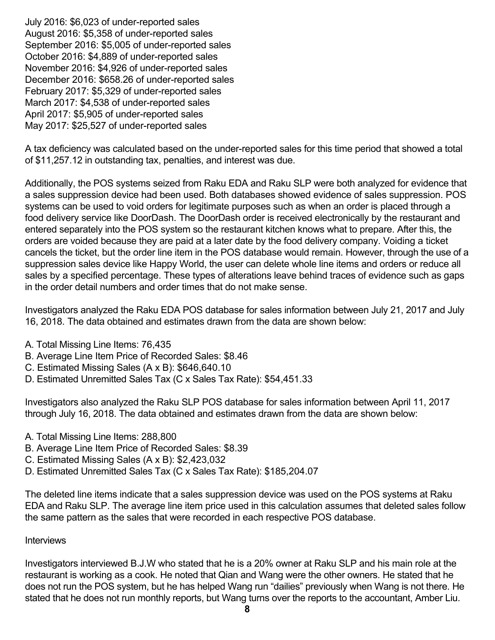July 2016: \$6,023 of under-reported sales August 2016: \$5,358 of under-reported sales September 2016: \$5,005 of under-reported sales October 2016: \$4,889 of under-reported sales November 2016: \$4,926 of under-reported sales December 2016: \$658.26 of under-reported sales February 2017: \$5,329 of under-reported sales March 2017: \$4,538 of under-reported sales April 2017: \$5,905 of under-reported sales May 2017: \$25,527 of under-reported sales

A tax deficiency was calculated based on the under-reported sales for this time period that showed a total of \$11,257.12 in outstanding tax, penalties, and interest was due.

Additionally, the POS systems seized from Raku EDA and Raku SLP were both analyzed for evidence that a sales suppression device had been used. Both databases showed evidence of sales suppression. POS systems can be used to void orders for legitimate purposes such as when an order is placed through a food delivery service like DoorDash. The DoorDash order is received electronically by the restaurant and entered separately into the POS system so the restaurant kitchen knows what to prepare. After this, the orders are voided because they are paid at a later date by the food delivery company. Voiding a ticket cancels the ticket, but the order line item in the POS database would remain. However, through the use of a suppression sales device like Happy World, the user can delete whole line items and orders or reduce all sales by a specified percentage. These types of alterations leave behind traces of evidence such as gaps in the order detail numbers and order times that do not make sense.

Investigators analyzed the Raku EDA POS database for sales information between July 21, 2017 and July 16, 2018. The data obtained and estimates drawn from the data are shown below:

- A. Total Missing Line Items: 76,435
- B. Average Line Item Price of Recorded Sales: \$8.46
- C. Estimated Missing Sales (A x B): \$646,640.10
- D. Estimated Unremitted Sales Tax (C x Sales Tax Rate): \$54,451.33

Investigators also analyzed the Raku SLP POS database for sales information between April 11, 2017 through July 16, 2018. The data obtained and estimates drawn from the data are shown below:

- A. Total Missing Line Items: 288,800
- B. Average Line Item Price of Recorded Sales: \$8.39
- C. Estimated Missing Sales (A x B): \$2,423,032
- D. Estimated Unremitted Sales Tax (C x Sales Tax Rate): \$185,204.07

The deleted line items indicate that a sales suppression device was used on the POS systems at Raku EDA and Raku SLP. The average line item price used in this calculation assumes that deleted sales follow the same pattern as the sales that were recorded in each respective POS database.

#### **Interviews**

Investigators interviewed B.J.W who stated that he is a 20% owner at Raku SLP and his main role at the restaurant is working as a cook. He noted that Qian and Wang were the other owners. He stated that he does not run the POS system, but he has helped Wang run "dailies" previously when Wang is not there. He stated that he does not run monthly reports, but Wang turns over the reports to the accountant, Amber Liu.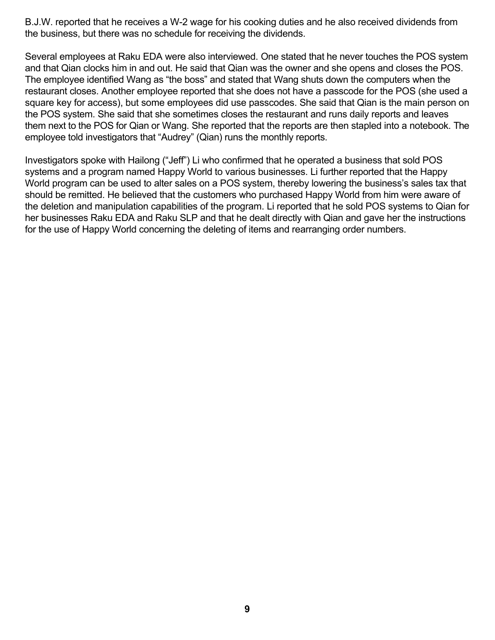B.J.W. reported that he receives a W-2 wage for his cooking duties and he also received dividends from the business, but there was no schedule for receiving the dividends.

Several employees at Raku EDA were also interviewed. One stated that he never touches the POS system and that Qian clocks him in and out. He said that Qian was the owner and she opens and closes the POS. The employee identified Wang as "the boss" and stated that Wang shuts down the computers when the restaurant closes. Another employee reported that she does not have a passcode for the POS (she used a square key for access), but some employees did use passcodes. She said that Qian is the main person on the POS system. She said that she sometimes closes the restaurant and runs daily reports and leaves them next to the POS for Qian or Wang. She reported that the reports are then stapled into a notebook. The employee told investigators that "Audrey" (Qian) runs the monthly reports.

Investigators spoke with Hailong ("Jeff") Li who confirmed that he operated a business that sold POS systems and a program named Happy World to various businesses. Li further reported that the Happy World program can be used to alter sales on a POS system, thereby lowering the business's sales tax that should be remitted. He believed that the customers who purchased Happy World from him were aware of the deletion and manipulation capabilities of the program. Li reported that he sold POS systems to Qian for her businesses Raku EDA and Raku SLP and that he dealt directly with Qian and gave her the instructions for the use of Happy World concerning the deleting of items and rearranging order numbers.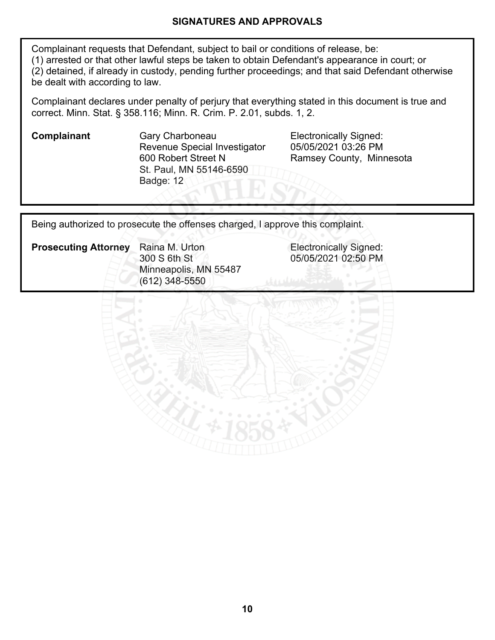#### **SIGNATURES AND APPROVALS**

Complainant requests that Defendant, subject to bail or conditions of release, be: (1) arrested or that other lawful steps be taken to obtain Defendant's appearance in court; or (2) detained, if already in custody, pending further proceedings; and that said Defendant otherwise be dealt with according to law.

Complainant declares under penalty of perjury that everything stated in this document is true and correct. Minn. Stat. § 358.116; Minn. R. Crim. P. 2.01, subds. 1, 2.

**Complainant Gary Charboneau Electronically Signed:** Revenue Special Investigator 600 Robert Street N St. Paul, MN 55146-6590 Badge: 12

05/05/2021 03:26 PM Ramsey County, Minnesota

Being authorized to prosecute the offenses charged, I approve this complaint.

**Prosecuting Attorney** Raina M. Urton **Electronically Signed:** Raina M. Urton 300 S 6th St Minneapolis, MN 55487 (612) 348-5550

05/05/2021 02:50 PM

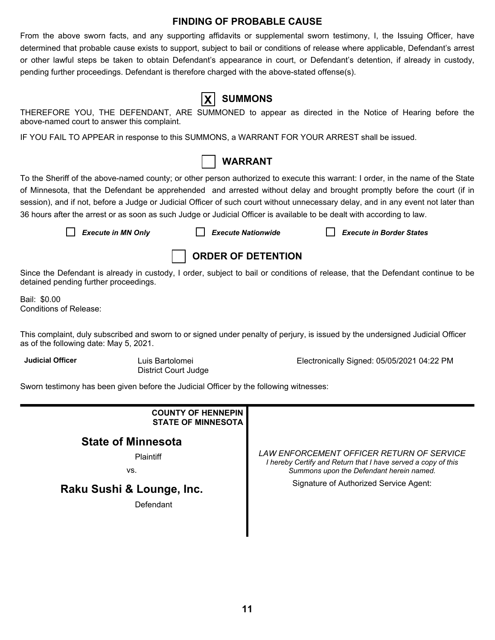#### **FINDING OF PROBABLE CAUSE**

From the above sworn facts, and any supporting affidavits or supplemental sworn testimony, I, the Issuing Officer, have determined that probable cause exists to support, subject to bail or conditions of release where applicable, Defendant's arrest or other lawful steps be taken to obtain Defendant's appearance in court, or Defendant's detention, if already in custody, pending further proceedings. Defendant is therefore charged with the above-stated offense(s).

| UE DEFENDAI |  |
|-------------|--|

# **X SUMMONS**

THEREFORE YOU, THE DEFENDANT, ARE SUMMONED to appear as directed in the Notice of Hearing before the above-named court to answer this complaint.

IF YOU FAIL TO APPEAR in response to this SUMMONS, a WARRANT FOR YOUR ARREST shall be issued.



To the Sheriff of the above-named county; or other person authorized to execute this warrant: I order, in the name of the State of Minnesota, that the Defendant be apprehended and arrested without delay and brought promptly before the court (if in session), and if not, before a Judge or Judicial Officer of such court without unnecessary delay, and in any event not later than 36 hours after the arrest or as soon as such Judge or Judicial Officer is available to be dealt with according to law.

*Execute in MN Only Execute Nationwide Execute in Border States*



Since the Defendant is already in custody, I order, subject to bail or conditions of release, that the Defendant continue to be detained pending further proceedings.

Bail: \$0.00 Conditions of Release:

This complaint, duly subscribed and sworn to or signed under penalty of perjury, is issued by the undersigned Judicial Officer as of the following date: May 5, 2021.

**Judicial Officer** Luis Bartolomei

District Court Judge

Electronically Signed: 05/05/2021 04:22 PM

Sworn testimony has been given before the Judicial Officer by the following witnesses:

| <b>COUNTY OF HENNEPIN</b><br><b>STATE OF MINNESOTA</b> |                                                                                                                                                        |  |  |  |
|--------------------------------------------------------|--------------------------------------------------------------------------------------------------------------------------------------------------------|--|--|--|
| <b>State of Minnesota</b><br><b>Plaintiff</b><br>VS.   | LAW ENFORCEMENT OFFICER RETURN OF SERVICE<br>I hereby Certify and Return that I have served a copy of this<br>Summons upon the Defendant herein named. |  |  |  |
| Raku Sushi & Lounge, Inc.<br>Defendant                 | Signature of Authorized Service Agent:                                                                                                                 |  |  |  |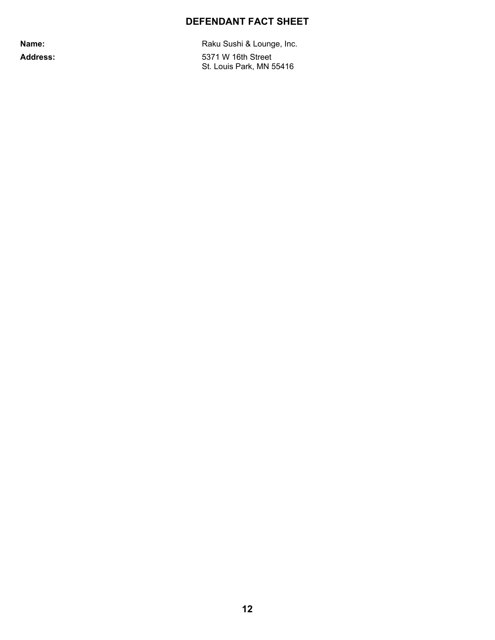# **DEFENDANT FACT SHEET**

Name: Name: Raku Sushi & Lounge, Inc. Address: 5371 W 16th Street St. Louis Park, MN 55416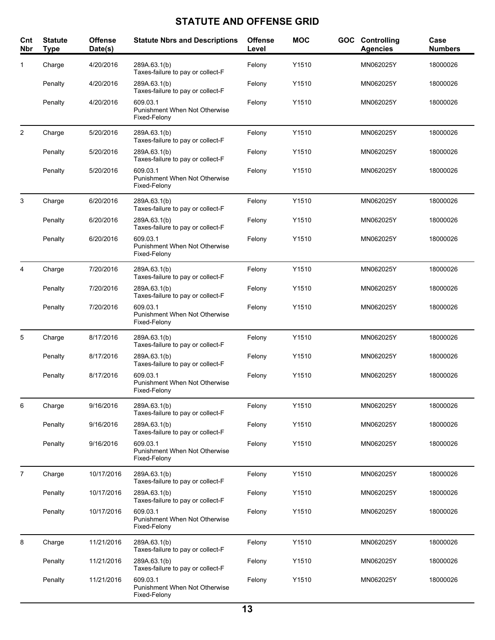# **STATUTE AND OFFENSE GRID**

| Cnt<br>Nbr     | <b>Statute</b><br><b>Type</b> | <b>Offense</b><br>Date(s) | <b>Statute Nbrs and Descriptions</b>                             | <b>Offense</b><br>Level | <b>MOC</b> | <b>GOC</b> Controlling<br><b>Agencies</b> | Case<br><b>Numbers</b> |
|----------------|-------------------------------|---------------------------|------------------------------------------------------------------|-------------------------|------------|-------------------------------------------|------------------------|
| 1              | Charge                        | 4/20/2016                 | 289A.63.1(b)<br>Taxes-failure to pay or collect-F                | Felony                  | Y1510      | MN062025Y                                 | 18000026               |
|                | Penalty                       | 4/20/2016                 | 289A.63.1(b)<br>Taxes-failure to pay or collect-F                | Felony                  | Y1510      | MN062025Y                                 | 18000026               |
|                | Penalty                       | 4/20/2016                 | 609.03.1<br>Punishment When Not Otherwise<br>Fixed-Felony        | Felony                  | Y1510      | MN062025Y                                 | 18000026               |
| 2              | Charge                        | 5/20/2016                 | 289A.63.1(b)<br>Taxes-failure to pay or collect-F                | Felony                  | Y1510      | MN062025Y                                 | 18000026               |
|                | Penalty                       | 5/20/2016                 | 289A.63.1(b)<br>Taxes-failure to pay or collect-F                | Felony                  | Y1510      | MN062025Y                                 | 18000026               |
|                | Penalty                       | 5/20/2016                 | 609.03.1<br>Punishment When Not Otherwise<br>Fixed-Felony        | Felony                  | Y1510      | MN062025Y                                 | 18000026               |
| 3              | Charge                        | 6/20/2016                 | 289A.63.1(b)<br>Taxes-failure to pay or collect-F                | Felony                  | Y1510      | MN062025Y                                 | 18000026               |
|                | Penalty                       | 6/20/2016                 | 289A.63.1(b)<br>Taxes-failure to pay or collect-F                | Felony                  | Y1510      | MN062025Y                                 | 18000026               |
|                | Penalty                       | 6/20/2016                 | 609.03.1<br>Punishment When Not Otherwise<br>Fixed-Felony        | Felony                  | Y1510      | MN062025Y                                 | 18000026               |
| 4              | Charge                        | 7/20/2016                 | 289A.63.1(b)<br>Taxes-failure to pay or collect-F                | Felony                  | Y1510      | MN062025Y                                 | 18000026               |
|                | Penalty                       | 7/20/2016                 | 289A.63.1(b)<br>Taxes-failure to pay or collect-F                | Felony                  | Y1510      | MN062025Y                                 | 18000026               |
|                | Penalty                       | 7/20/2016                 | 609.03.1<br>Punishment When Not Otherwise<br>Fixed-Felony        | Felony                  | Y1510      | MN062025Y                                 | 18000026               |
| 5              | Charge                        | 8/17/2016                 | 289A.63.1(b)<br>Taxes-failure to pay or collect-F                | Felony                  | Y1510      | MN062025Y                                 | 18000026               |
|                | Penalty                       | 8/17/2016                 | 289A.63.1(b)<br>Taxes-failure to pay or collect-F                | Felony                  | Y1510      | MN062025Y                                 | 18000026               |
|                | Penalty                       | 8/17/2016                 | 609.03.1<br><b>Punishment When Not Otherwise</b><br>Fixed-Felony | Felony                  | Y1510      | MN062025Y                                 | 18000026               |
| 6              | Charge                        | 9/16/2016                 | 289A.63.1(b)<br>Taxes-failure to pay or collect-F                | Felony                  | Y1510      | MN062025Y                                 | 18000026               |
|                | Penalty                       | 9/16/2016                 | 289A.63.1(b)<br>Taxes-failure to pay or collect-F                | Felony                  | Y1510      | MN062025Y                                 | 18000026               |
|                | Penalty                       | 9/16/2016                 | 609.03.1<br>Punishment When Not Otherwise<br>Fixed-Felony        | Felony                  | Y1510      | MN062025Y                                 | 18000026               |
| $\overline{7}$ | Charge                        | 10/17/2016                | 289A.63.1(b)<br>Taxes-failure to pay or collect-F                | Felony                  | Y1510      | MN062025Y                                 | 18000026               |
|                | Penalty                       | 10/17/2016                | 289A 63.1(b)<br>Taxes-failure to pay or collect-F                | Felony                  | Y1510      | MN062025Y                                 | 18000026               |
|                | Penalty                       | 10/17/2016                | 609.03.1<br>Punishment When Not Otherwise<br>Fixed-Felony        | Felony                  | Y1510      | MN062025Y                                 | 18000026               |
| 8              | Charge                        | 11/21/2016                | 289A.63.1(b)<br>Taxes-failure to pay or collect-F                | Felony                  | Y1510      | MN062025Y                                 | 18000026               |
|                | Penalty                       | 11/21/2016                | 289A.63.1(b)<br>Taxes-failure to pay or collect-F                | Felony                  | Y1510      | MN062025Y                                 | 18000026               |
|                | Penalty                       | 11/21/2016                | 609.03.1<br>Punishment When Not Otherwise<br>Fixed-Felony        | Felony                  | Y1510      | MN062025Y                                 | 18000026               |